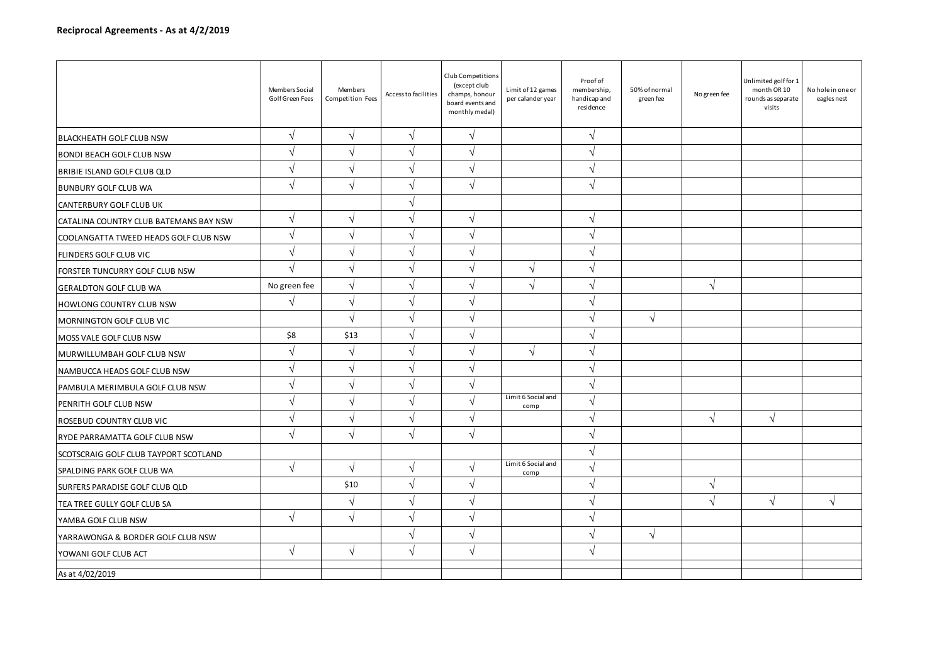|                                        | Members Social<br>Golf Green Fees | Members<br>Competition Fees | Access to facilities | Club Competitions<br>(except club<br>champs, honour<br>board events and<br>monthly medal) | Limit of 12 games<br>per calander year | Proof of<br>membership,<br>handicap and<br>residence | 50% of normal<br>green fee | No green fee  | Unlimited golf for 1<br>month OR 10<br>rounds as separate<br>visits | No hole in one or<br>eagles nest |
|----------------------------------------|-----------------------------------|-----------------------------|----------------------|-------------------------------------------------------------------------------------------|----------------------------------------|------------------------------------------------------|----------------------------|---------------|---------------------------------------------------------------------|----------------------------------|
| <b>BLACKHEATH GOLF CLUB NSW</b>        | V                                 | $\sqrt{ }$                  | $\sqrt{}$            | $\sqrt{ }$                                                                                |                                        | $\sqrt{ }$                                           |                            |               |                                                                     |                                  |
| <b>BONDI BEACH GOLF CLUB NSW</b>       | V                                 | V                           | $\sqrt{}$            | $\sqrt{}$                                                                                 |                                        | V                                                    |                            |               |                                                                     |                                  |
| BRIBIE ISLAND GOLF CLUB QLD            | $\sqrt{}$                         | $\sqrt{ }$                  | $\sqrt{2}$           | $\sqrt{}$                                                                                 |                                        | $\sqrt{ }$                                           |                            |               |                                                                     |                                  |
| <b>BUNBURY GOLF CLUB WA</b>            | $\sqrt{}$                         | $\sqrt{}$                   | $\sqrt{ }$           | $\sqrt{ }$                                                                                |                                        | $\sqrt{}$                                            |                            |               |                                                                     |                                  |
| CANTERBURY GOLF CLUB UK                |                                   |                             | $\sqrt{}$            |                                                                                           |                                        |                                                      |                            |               |                                                                     |                                  |
| CATALINA COUNTRY CLUB BATEMANS BAY NSW | $\sqrt{ }$                        | $\sqrt{}$                   | $\sqrt{}$            | $\sqrt{ }$                                                                                |                                        | $\sqrt{ }$                                           |                            |               |                                                                     |                                  |
| COOLANGATTA TWEED HEADS GOLF CLUB NSW  | V                                 | ٦                           | $\sqrt{}$            | V                                                                                         |                                        | V                                                    |                            |               |                                                                     |                                  |
| FLINDERS GOLF CLUB VIC                 | $\sqrt{}$                         | $\sqrt{}$                   | $\sqrt{2}$           | $\sqrt{ }$                                                                                |                                        | V                                                    |                            |               |                                                                     |                                  |
| FORSTER TUNCURRY GOLF CLUB NSW         |                                   | $\overline{\mathcal{N}}$    | $\sqrt{}$            | $\sqrt{}$                                                                                 | $\sqrt{ }$                             | $\sqrt{}$                                            |                            |               |                                                                     |                                  |
| <b>GERALDTON GOLF CLUB WA</b>          | No green fee                      | $\mathcal{A}$               | $\sqrt{ }$           | $\mathcal{L}$                                                                             | $\sqrt{ }$                             | $\mathcal{L}$                                        |                            | $\sqrt{ }$    |                                                                     |                                  |
| HOWLONG COUNTRY CLUB NSW               |                                   | $\sqrt{}$                   | $\sqrt{}$            | $\sqrt{ }$                                                                                |                                        | V                                                    |                            |               |                                                                     |                                  |
| MORNINGTON GOLF CLUB VIC               |                                   | N                           | $\sqrt{ }$           | $\sqrt{}$                                                                                 |                                        | J                                                    | $\sqrt{ }$                 |               |                                                                     |                                  |
| MOSS VALE GOLF CLUB NSW                | \$8                               | \$13                        | $\sqrt{}$            | $\sqrt{}$                                                                                 |                                        | V                                                    |                            |               |                                                                     |                                  |
| MURWILLUMBAH GOLF CLUB NSW             | V                                 | $\sqrt{ }$                  | $\sqrt{ }$           | $\sqrt{}$                                                                                 | $\sqrt{ }$                             | $\sqrt{ }$                                           |                            |               |                                                                     |                                  |
| NAMBUCCA HEADS GOLF CLUB NSW           | V                                 | V                           | $\sqrt{ }$           | V                                                                                         |                                        | $\sqrt{}$                                            |                            |               |                                                                     |                                  |
| PAMBULA MERIMBULA GOLF CLUB NSW        | $\sqrt{}$                         | N                           | $\sqrt{ }$           | $\sqrt{}$                                                                                 |                                        | $\sqrt{ }$                                           |                            |               |                                                                     |                                  |
| PENRITH GOLF CLUB NSW                  |                                   |                             |                      | $\sqrt{ }$                                                                                | Limit 6 Social and<br>comp             | V                                                    |                            |               |                                                                     |                                  |
| ROSEBUD COUNTRY CLUB VIC               | V                                 | $\mathcal{N}$               | $\sqrt{}$            | V                                                                                         |                                        | $\sqrt{ }$                                           |                            | $\sqrt{ }$    | $\sqrt{ }$                                                          |                                  |
| <b>RYDE PARRAMATTA GOLF CLUB NSW</b>   | V                                 | $\sqrt{ }$                  | $\sqrt{ }$           | $\sqrt{}$                                                                                 |                                        | $\sqrt{ }$                                           |                            |               |                                                                     |                                  |
| SCOTSCRAIG GOLF CLUB TAYPORT SCOTLAND  |                                   |                             |                      |                                                                                           |                                        | $\sqrt{}$                                            |                            |               |                                                                     |                                  |
| SPALDING PARK GOLF CLUB WA             | $\sqrt{}$                         | $\sqrt{}$                   | $\sqrt{}$            | $\sqrt{}$                                                                                 | Limit 6 Social and<br>comp             | $\sqrt{}$                                            |                            |               |                                                                     |                                  |
| SURFERS PARADISE GOLF CLUB QLD         |                                   | \$10                        | $\sqrt{}$            | $\sqrt{}$                                                                                 |                                        | $\sqrt{ }$                                           |                            | $\mathcal{N}$ |                                                                     |                                  |
| TEA TREE GULLY GOLF CLUB SA            |                                   | $\sqrt{2}$                  | $\sqrt{}$            | V                                                                                         |                                        | $\sqrt{}$                                            |                            | $\sqrt{ }$    | $\sqrt{ }$                                                          | $\sqrt{ }$                       |
| YAMBA GOLF CLUB NSW                    | $\sqrt{ }$                        | $\sqrt{}$                   | $\sqrt{}$            | $\sqrt{}$                                                                                 |                                        | $\sqrt{ }$                                           |                            |               |                                                                     |                                  |
| YARRAWONGA & BORDER GOLF CLUB NSW      |                                   |                             |                      | $\sqrt{ }$                                                                                |                                        | V                                                    | $\sqrt{ }$                 |               |                                                                     |                                  |
| YOWANI GOLF CLUB ACT                   | √                                 | $\sqrt{ }$                  | $\sqrt{ }$           | $\sqrt{ }$                                                                                |                                        | N                                                    |                            |               |                                                                     |                                  |
| As at 4/02/2019                        |                                   |                             |                      |                                                                                           |                                        |                                                      |                            |               |                                                                     |                                  |